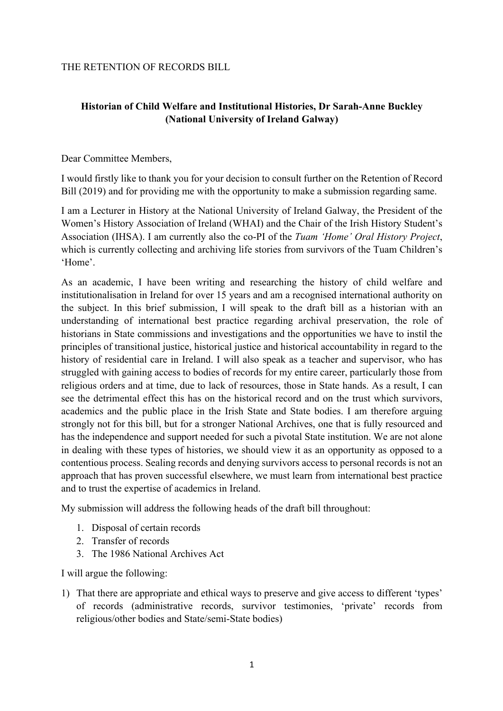### THE RETENTION OF RECORDS BILL

# **Historian of Child Welfare and Institutional Histories, Dr Sarah-Anne Buckley (National University of Ireland Galway)**

Dear Committee Members,

I would firstly like to thank you for your decision to consult further on the Retention of Record Bill (2019) and for providing me with the opportunity to make a submission regarding same.

I am a Lecturer in History at the National University of Ireland Galway, the President of the Women's History Association of Ireland (WHAI) and the Chair of the Irish History Student's Association (IHSA). I am currently also the co-PI of the *Tuam 'Home' Oral History Project*, which is currently collecting and archiving life stories from survivors of the Tuam Children's 'Home'.

As an academic, I have been writing and researching the history of child welfare and institutionalisation in Ireland for over 15 years and am a recognised international authority on the subject. In this brief submission, I will speak to the draft bill as a historian with an understanding of international best practice regarding archival preservation, the role of historians in State commissions and investigations and the opportunities we have to instil the principles of transitional justice, historical justice and historical accountability in regard to the history of residential care in Ireland. I will also speak as a teacher and supervisor, who has struggled with gaining access to bodies of records for my entire career, particularly those from religious orders and at time, due to lack of resources, those in State hands. As a result, I can see the detrimental effect this has on the historical record and on the trust which survivors, academics and the public place in the Irish State and State bodies. I am therefore arguing strongly not for this bill, but for a stronger National Archives, one that is fully resourced and has the independence and support needed for such a pivotal State institution. We are not alone in dealing with these types of histories, we should view it as an opportunity as opposed to a contentious process. Sealing records and denying survivors access to personal records is not an approach that has proven successful elsewhere, we must learn from international best practice and to trust the expertise of academics in Ireland.

My submission will address the following heads of the draft bill throughout:

- 1. Disposal of certain records
- 2. Transfer of records
- 3. The 1986 National Archives Act

I will argue the following:

1) That there are appropriate and ethical ways to preserve and give access to different 'types' of records (administrative records, survivor testimonies, 'private' records from religious/other bodies and State/semi-State bodies)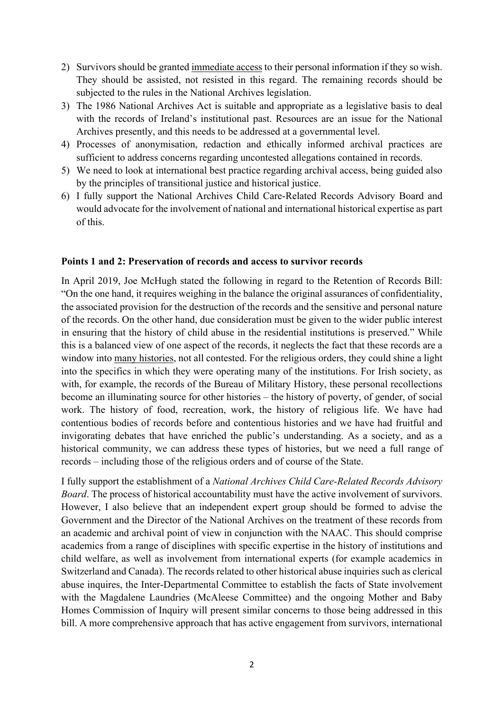- 2) Survivors should be granted immediate access to their personal information if they so wish. They should be assisted, not resisted in this regard. The remaining records should be subjected to the rules in the National Archives legislation.
- 3) The 1986 National Archives Act is suitable and appropriate as a legislative basis to deal with the records of Ireland's institutional past. Resources are an issue for the National Archives presently, and this needs to be addressed at a governmental level.
- 4) Processes of anonymisation, redaction and ethically informed archival practices are sufficient to address concerns regarding uncontested allegations contained in records.
- 5) We need to look at international best practice regarding archival access, being guided also by the principles of transitional justice and historical justice.
- 6) I fully support the National Archives Child Care-Related Records Advisory Board and would advocate for the involvement of national and international historical expertise as part of this.

#### **Points 1 and 2: Preservation of records and access to survivor records**

In April 2019, Joe McHugh stated the following in regard to the Retention of Records Bill: "On the one hand, it requires weighing in the balance the original assurances of confidentiality, the associated provision for the destruction of the records and the sensitive and personal nature of the records. On the other hand, due consideration must be given to the wider public interest in ensuring that the history of child abuse in the residential institutions is preserved." While this is a balanced view of one aspect of the records, it neglects the fact that these records are a window into many histories, not all contested. For the religious orders, they could shine a light into the specifics in which they were operating many of the institutions. For Irish society, as with, for example, the records of the Bureau of Military History, these personal recollections become an illuminating source for other histories – the history of poverty, of gender, of social work. The history of food, recreation, work, the history of religious life. We have had contentious bodies of records before and contentious histories and we have had fruitful and invigorating debates that have enriched the public's understanding. As a society, and as a historical community, we can address these types of histories, but we need a full range of records – including those of the religious orders and of course of the State.

I fully support the establishment of a *National Archives Child Care-Related Records Advisory Board*. The process of historical accountability must have the active involvement of survivors. However, I also believe that an independent expert group should be formed to advise the Government and the Director of the National Archives on the treatment of these records from an academic and archival point of view in conjunction with the NAAC. This should comprise academics from a range of disciplines with specific expertise in the history of institutions and child welfare, as well as involvement from international experts (for example academics in Switzerland and Canada). The records related to other historical abuse inquiries such as clerical abuse inquires, the Inter-Departmental Committee to establish the facts of State involvement with the Magdalene Laundries (McAleese Committee) and the ongoing Mother and Baby Homes Commission of Inquiry will present similar concerns to those being addressed in this bill. A more comprehensive approach that has active engagement from survivors, international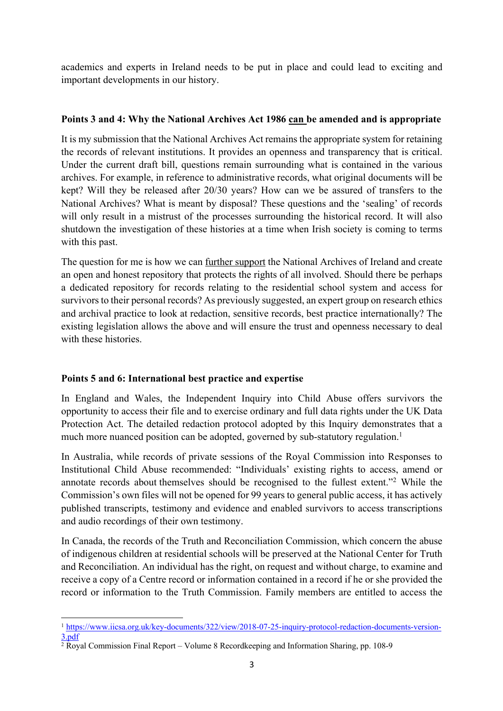academics and experts in Ireland needs to be put in place and could lead to exciting and important developments in our history.

## **Points 3 and 4: Why the National Archives Act 1986 can be amended and is appropriate**

It is my submission that the National Archives Act remains the appropriate system for retaining the records of relevant institutions. It provides an openness and transparency that is critical. Under the current draft bill, questions remain surrounding what is contained in the various archives. For example, in reference to administrative records, what original documents will be kept? Will they be released after 20/30 years? How can we be assured of transfers to the National Archives? What is meant by disposal? These questions and the 'sealing' of records will only result in a mistrust of the processes surrounding the historical record. It will also shutdown the investigation of these histories at a time when Irish society is coming to terms with this past.

The question for me is how we can <u>further support</u> the National Archives of Ireland and create an open and honest repository that protects the rights of all involved. Should there be perhaps a dedicated repository for records relating to the residential school system and access for survivors to their personal records? As previously suggested, an expert group on research ethics and archival practice to look at redaction, sensitive records, best practice internationally? The existing legislation allows the above and will ensure the trust and openness necessary to deal with these histories.

# **Points 5 and 6: International best practice and expertise**

In England and Wales, the Independent Inquiry into Child Abuse offers survivors the opportunity to access their file and to exercise ordinary and full data rights under the UK Data Protection Act. The detailed redaction protocol adopted by this Inquiry demonstrates that a much more nuanced position can be adopted, governed by sub-statutory regulation.<sup>1</sup>

In Australia, while records of private sessions of the Royal Commission into Responses to Institutional Child Abuse recommended: "Individuals' existing rights to access, amend or annotate records about themselves should be recognised to the fullest extent."2 While the Commission's own files will not be opened for 99 years to general public access, it has actively published transcripts, testimony and evidence and enabled survivors to access transcriptions and audio recordings of their own testimony.

In Canada, the records of the Truth and Reconciliation Commission, which concern the abuse of indigenous children at residential schools will be preserved at the National Center for Truth and Reconciliation. An individual has the right, on request and without charge, to examine and receive a copy of a Centre record or information contained in a record if he or she provided the record or information to the Truth Commission. Family members are entitled to access the

l <sup>1</sup> https://www.iicsa.org.uk/key-documents/322/view/2018-07-25-inquiry-protocol-redaction-documents-version-3.pdf

 $\frac{2}{\text{2}}$  Royal Commission Final Report – Volume 8 Recordkeeping and Information Sharing, pp. 108-9